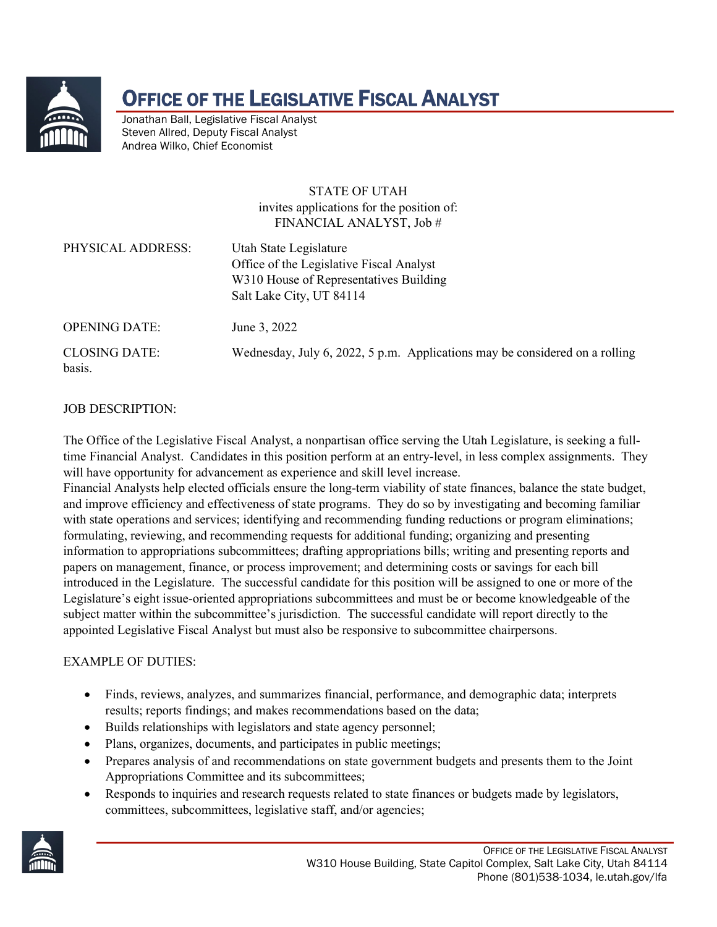

## OFFICE OF THE LEGISLATIVE FISCAL ANALYST

Jonathan Ball, Legislative Fiscal Analyst Steven Allred, Deputy Fiscal Analyst Andrea Wilko, Chief Economist

#### STATE OF UTAH invites applications for the position of: FINANCIAL ANALYST, Job #

| Office of the Legislative Fiscal Analyst<br>W310 House of Representatives Building<br>Salt Lake City, UT 84114 | PHYSICAL ADDRESS: | Utah State Legislature |  |
|----------------------------------------------------------------------------------------------------------------|-------------------|------------------------|--|
|----------------------------------------------------------------------------------------------------------------|-------------------|------------------------|--|

OPENING DATE: June 3, 2022

basis.

CLOSING DATE: Wednesday, July 6, 2022, 5 p.m. Applications may be considered on a rolling

#### JOB DESCRIPTION:

The Office of the Legislative Fiscal Analyst, a nonpartisan office serving the Utah Legislature, is seeking a fulltime Financial Analyst. Candidates in this position perform at an entry-level, in less complex assignments. They will have opportunity for advancement as experience and skill level increase.

Financial Analysts help elected officials ensure the long-term viability of state finances, balance the state budget, and improve efficiency and effectiveness of state programs. They do so by investigating and becoming familiar with state operations and services; identifying and recommending funding reductions or program eliminations; formulating, reviewing, and recommending requests for additional funding; organizing and presenting information to appropriations subcommittees; drafting appropriations bills; writing and presenting reports and papers on management, finance, or process improvement; and determining costs or savings for each bill introduced in the Legislature. The successful candidate for this position will be assigned to one or more of the Legislature's eight issue-oriented appropriations subcommittees and must be or become knowledgeable of the subject matter within the subcommittee's jurisdiction. The successful candidate will report directly to the appointed Legislative Fiscal Analyst but must also be responsive to subcommittee chairpersons.

#### EXAMPLE OF DUTIES:

- Finds, reviews, analyzes, and summarizes financial, performance, and demographic data; interprets results; reports findings; and makes recommendations based on the data;
- Builds relationships with legislators and state agency personnel;
- Plans, organizes, documents, and participates in public meetings;
- Prepares analysis of and recommendations on state government budgets and presents them to the Joint Appropriations Committee and its subcommittees;
- Responds to inquiries and research requests related to state finances or budgets made by legislators, committees, subcommittees, legislative staff, and/or agencies;